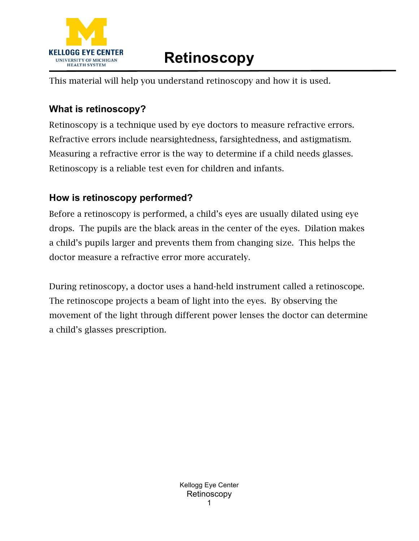

## **Retinoscopy**

This material will help you understand retinoscopy and how it is used.

## **What is retinoscopy?**

Retinoscopy is a technique used by eye doctors to measure refractive errors. Refractive errors include nearsightedness, farsightedness, and astigmatism. Measuring a refractive error is the way to determine if a child needs glasses. Retinoscopy is a reliable test even for children and infants.

## **How is retinoscopy performed?**

Before a retinoscopy is performed, a child's eyes are usually dilated using eye drops. The pupils are the black areas in the center of the eyes. Dilation makes a child's pupils larger and prevents them from changing size. This helps the doctor measure a refractive error more accurately.

During retinoscopy, a doctor uses a hand-held instrument called a retinoscope. The retinoscope projects a beam of light into the eyes. By observing the movement of the light through different power lenses the doctor can determine a child's glasses prescription.